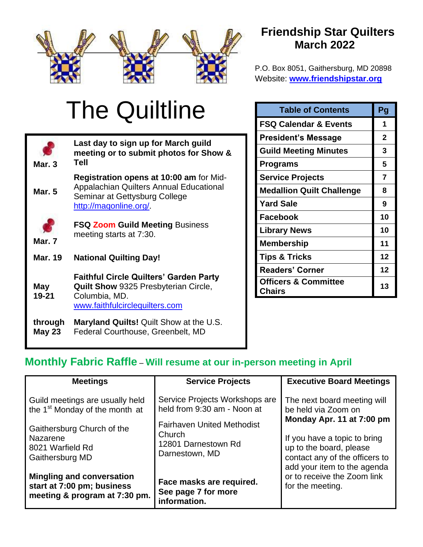

# **Friendship Star Quilters March 2022**

P.O. Box 8051, Gaithersburg, MD 20898 Website: **[www.friendshipstar.org](http://www.friendshipstar.org/)**

# The Quiltline

| Mar. $3$                 | Last day to sign up for March guild<br>meeting or to submit photos for Show &<br>Tell                                                                |
|--------------------------|------------------------------------------------------------------------------------------------------------------------------------------------------|
| <b>Mar. 5</b>            | <b>Registration opens at 10:00 am for Mid-</b><br>Appalachian Quilters Annual Educational<br>Seminar at Gettysburg College<br>http://magonline.org/. |
| Mar. 7                   | <b>FSQ Zoom Guild Meeting Business</b><br>meeting starts at 7:30.                                                                                    |
| <b>Mar. 19</b>           | <b>National Quilting Day!</b>                                                                                                                        |
| May<br>19-21             | <b>Faithful Circle Quilters' Garden Party</b><br>Quilt Show 9325 Presbyterian Circle,<br>Columbia, MD.<br>www.faithfulcirclequilters.com             |
| through<br><b>May 23</b> | <b>Maryland Quilts!</b> Quilt Show at the U.S.<br>Federal Courthouse, Greenbelt, MD                                                                  |

| <b>Table of Contents</b>                  | Pg |
|-------------------------------------------|----|
| <b>FSQ Calendar &amp; Events</b>          | 1  |
| <b>President's Message</b>                | 2  |
| <b>Guild Meeting Minutes</b>              | 3  |
| <b>Programs</b>                           | 5  |
| <b>Service Projects</b>                   | 7  |
| <b>Medallion Quilt Challenge</b>          | 8  |
| <b>Yard Sale</b>                          | 9  |
| <b>Facebook</b>                           | 10 |
| <b>Library News</b>                       | 10 |
| Membership                                | 11 |
| <b>Tips &amp; Tricks</b>                  | 12 |
| <b>Readers' Corner</b>                    | 12 |
| <b>Officers &amp; Committee</b><br>Chairs | 13 |

# **Monthly Fabric Raffle** – **Will resume at our in-person meeting in April**

| <b>Meetings</b>                                                                                 | <b>Service Projects</b>                                         | <b>Executive Board Meetings</b>                                                                                          |                                                          |  |  |  |  |
|-------------------------------------------------------------------------------------------------|-----------------------------------------------------------------|--------------------------------------------------------------------------------------------------------------------------|----------------------------------------------------------|--|--|--|--|
| Guild meetings are usually held<br>the 1 <sup>st</sup> Monday of the month at                   | Service Projects Workshops are<br>held from 9:30 am - Noon at   | be held via Zoom on<br><b>Fairhaven United Methodist</b>                                                                 | The next board meeting will<br>Monday Apr. 11 at 7:00 pm |  |  |  |  |
| Gaithersburg Church of the<br>Nazarene<br>8021 Warfield Rd<br>Gaithersburg MD                   | Church<br>12801 Darnestown Rd<br>Darnestown, MD                 | If you have a topic to bring<br>up to the board, please<br>contact any of the officers to<br>add your item to the agenda |                                                          |  |  |  |  |
| <b>Mingling and conversation</b><br>start at 7:00 pm; business<br>meeting & program at 7:30 pm. | Face masks are required.<br>See page 7 for more<br>information. | or to receive the Zoom link<br>for the meeting.                                                                          |                                                          |  |  |  |  |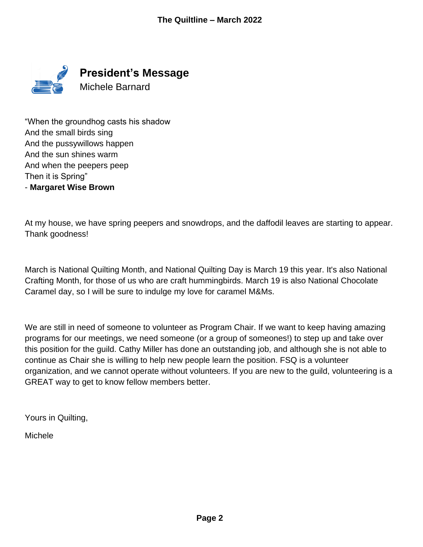

"When the groundhog casts his shadow And the small birds sing And the pussywillows happen And the sun shines warm And when the peepers peep Then it is Spring" - **Margaret Wise Brown**

At my house, we have spring peepers and snowdrops, and the daffodil leaves are starting to appear. Thank goodness!

March is National Quilting Month, and National Quilting Day is March 19 this year. It's also National Crafting Month, for those of us who are craft hummingbirds. March 19 is also National Chocolate Caramel day, so I will be sure to indulge my love for caramel M&Ms.

We are still in need of someone to volunteer as Program Chair. If we want to keep having amazing programs for our meetings, we need someone (or a group of someones!) to step up and take over this position for the guild. Cathy Miller has done an outstanding job, and although she is not able to continue as Chair she is willing to help new people learn the position. FSQ is a volunteer organization, and we cannot operate without volunteers. If you are new to the guild, volunteering is a GREAT way to get to know fellow members better.

Yours in Quilting,

Michele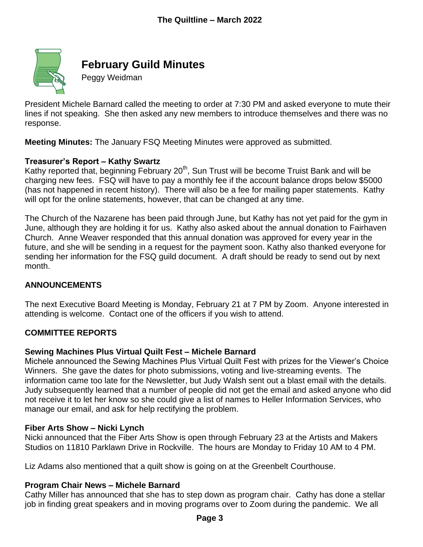

# **February Guild Minutes**

Peggy Weidman

President Michele Barnard called the meeting to order at 7:30 PM and asked everyone to mute their lines if not speaking. She then asked any new members to introduce themselves and there was no response.

**Meeting Minutes:** The January FSQ Meeting Minutes were approved as submitted.

## **Treasurer's Report – Kathy Swartz**

Kathy reported that, beginning February 20<sup>th</sup>, Sun Trust will be become Truist Bank and will be charging new fees. FSQ will have to pay a monthly fee if the account balance drops below \$5000 (has not happened in recent history). There will also be a fee for mailing paper statements. Kathy will opt for the online statements, however, that can be changed at any time.

The Church of the Nazarene has been paid through June, but Kathy has not yet paid for the gym in June, although they are holding it for us. Kathy also asked about the annual donation to Fairhaven Church. Anne Weaver responded that this annual donation was approved for every year in the future, and she will be sending in a request for the payment soon. Kathy also thanked everyone for sending her information for the FSQ guild document. A draft should be ready to send out by next month.

## **ANNOUNCEMENTS**

The next Executive Board Meeting is Monday, February 21 at 7 PM by Zoom. Anyone interested in attending is welcome. Contact one of the officers if you wish to attend.

#### **COMMITTEE REPORTS**

#### **Sewing Machines Plus Virtual Quilt Fest – Michele Barnard**

Michele announced the Sewing Machines Plus Virtual Quilt Fest with prizes for the Viewer's Choice Winners. She gave the dates for photo submissions, voting and live-streaming events. The information came too late for the Newsletter, but Judy Walsh sent out a blast email with the details. Judy subsequently learned that a number of people did not get the email and asked anyone who did not receive it to let her know so she could give a list of names to Heller Information Services, who manage our email, and ask for help rectifying the problem.

#### **Fiber Arts Show – Nicki Lynch**

Nicki announced that the Fiber Arts Show is open through February 23 at the Artists and Makers Studios on 11810 Parklawn Drive in Rockville. The hours are Monday to Friday 10 AM to 4 PM.

Liz Adams also mentioned that a quilt show is going on at the Greenbelt Courthouse.

#### **Program Chair News – Michele Barnard**

Cathy Miller has announced that she has to step down as program chair. Cathy has done a stellar job in finding great speakers and in moving programs over to Zoom during the pandemic. We all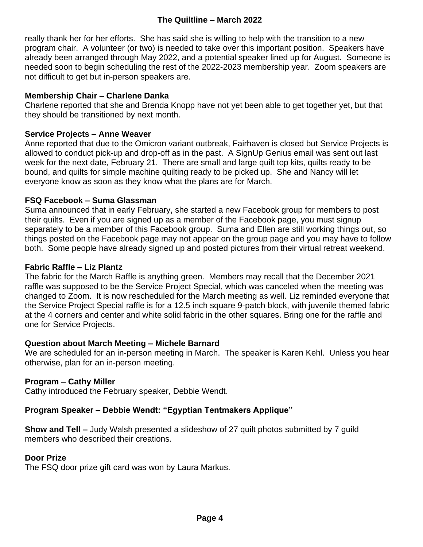## **The Quiltline – March 2022**

really thank her for her efforts. She has said she is willing to help with the transition to a new program chair. A volunteer (or two) is needed to take over this important position. Speakers have already been arranged through May 2022, and a potential speaker lined up for August. Someone is needed soon to begin scheduling the rest of the 2022-2023 membership year. Zoom speakers are not difficult to get but in-person speakers are.

#### **Membership Chair – Charlene Danka**

Charlene reported that she and Brenda Knopp have not yet been able to get together yet, but that they should be transitioned by next month.

#### **Service Projects – Anne Weaver**

Anne reported that due to the Omicron variant outbreak, Fairhaven is closed but Service Projects is allowed to conduct pick-up and drop-off as in the past. A SignUp Genius email was sent out last week for the next date, February 21. There are small and large quilt top kits, quilts ready to be bound, and quilts for simple machine quilting ready to be picked up. She and Nancy will let everyone know as soon as they know what the plans are for March.

#### **FSQ Facebook – Suma Glassman**

Suma announced that in early February, she started a new Facebook group for members to post their quilts. Even if you are signed up as a member of the Facebook page, you must signup separately to be a member of this Facebook group. Suma and Ellen are still working things out, so things posted on the Facebook page may not appear on the group page and you may have to follow both. Some people have already signed up and posted pictures from their virtual retreat weekend.

#### **Fabric Raffle – Liz Plantz**

The fabric for the March Raffle is anything green. Members may recall that the December 2021 raffle was supposed to be the Service Project Special, which was canceled when the meeting was changed to Zoom. It is now rescheduled for the March meeting as well. Liz reminded everyone that the Service Project Special raffle is for a 12.5 inch square 9-patch block, with juvenile themed fabric at the 4 corners and center and white solid fabric in the other squares. Bring one for the raffle and one for Service Projects.

#### **Question about March Meeting – Michele Barnard**

We are scheduled for an in-person meeting in March. The speaker is Karen Kehl. Unless you hear otherwise, plan for an in-person meeting.

#### **Program – Cathy Miller**

Cathy introduced the February speaker, Debbie Wendt.

#### **Program Speaker – Debbie Wendt: "Egyptian Tentmakers Applique"**

**Show and Tell –** Judy Walsh presented a slideshow of 27 quilt photos submitted by 7 guild members who described their creations.

#### **Door Prize**

The FSQ door prize gift card was won by Laura Markus.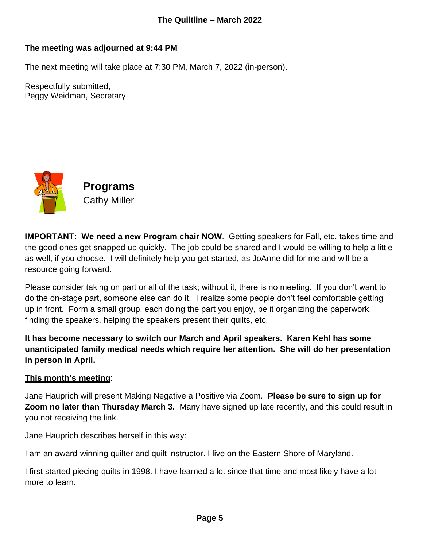## **The meeting was adjourned at 9:44 PM**

The next meeting will take place at 7:30 PM, March 7, 2022 (in-person).

Respectfully submitted, Peggy Weidman, Secretary



**IMPORTANT: We need a new Program chair NOW.** Getting speakers for Fall, etc. takes time and the good ones get snapped up quickly. The job could be shared and I would be willing to help a little as well, if you choose. I will definitely help you get started, as JoAnne did for me and will be a resource going forward.

Please consider taking on part or all of the task; without it, there is no meeting. If you don't want to do the on-stage part, someone else can do it. I realize some people don't feel comfortable getting up in front. Form a small group, each doing the part you enjoy, be it organizing the paperwork, finding the speakers, helping the speakers present their quilts, etc.

**It has become necessary to switch our March and April speakers. Karen Kehl has some unanticipated family medical needs which require her attention. She will do her presentation in person in April.** 

## **This month's meeting**:

Jane Hauprich will present Making Negative a Positive via Zoom. **Please be sure to sign up for Zoom no later than Thursday March 3.** Many have signed up late recently, and this could result in you not receiving the link.

Jane Hauprich describes herself in this way:

I am an award-winning quilter and quilt instructor. I live on the Eastern Shore of Maryland.

I first started piecing quilts in 1998. I have learned a lot since that time and most likely have a lot more to learn.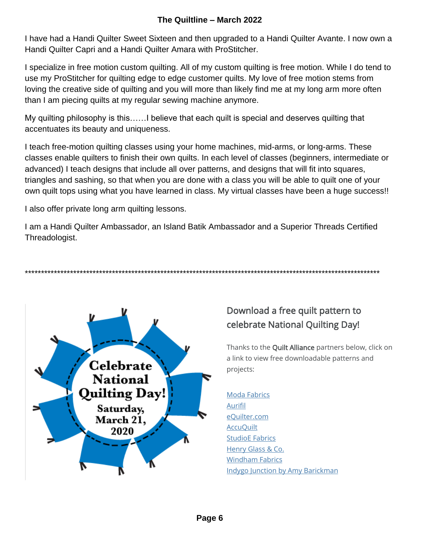## **The Quiltline – March 2022**

I have had a Handi Quilter Sweet Sixteen and then upgraded to a Handi Quilter Avante. I now own a Handi Quilter Capri and a Handi Quilter Amara with ProStitcher.

I specialize in free motion custom quilting. All of my custom quilting is free motion. While I do tend to use my ProStitcher for quilting edge to edge customer quilts. My love of free motion stems from loving the creative side of quilting and you will more than likely find me at my long arm more often than I am piecing quilts at my regular sewing machine anymore.

My quilting philosophy is this……I believe that each quilt is special and deserves quilting that accentuates its beauty and uniqueness.

I teach free-motion quilting classes using your home machines, mid-arms, or long-arms. These classes enable quilters to finish their own quilts. In each level of classes (beginners, intermediate or advanced) I teach designs that include all over patterns, and designs that will fit into squares, triangles and sashing, so that when you are done with a class you will be able to quilt one of your own quilt tops using what you have learned in class. My virtual classes have been a huge success!!

I also offer private long arm quilting lessons.

I am a Handi Quilter Ambassador, an Island Batik Ambassador and a Superior Threads Certified Threadologist.

\*\*\*\*\*\*\*\*\*\*\*\*\*\*\*\*\*\*\*\*\*\*\*\*\*\*\*\*\*\*\*\*\*\*\*\*\*\*\*\*\*\*\*\*\*\*\*\*\*\*\*\*\*\*\*\*\*\*\*\*\*\*\*\*\*\*\*\*\*\*\*\*\*\*\*\*\*\*\*\*\*\*\*\*\*\*\*\*\*\*\*\*\*\*\*\*\*\*\*\*\*\*\*\*\*\*\*\*\*\*



# Download a free quilt pattern to celebrate National Quilting Day!

Thanks to the Quilt Alliance partners below, click on a link to view free downloadable patterns and projects:

[Moda Fabrics](https://my.modafabrics.com/free-patterns) [Aurifil](http://www.aurifil.com/patterns) [eQuilter.com](https://www.equilter.com/pattern/category/1) **AccuOuilt** [StudioE Fabrics](https://studioefabrics.net/projects/) [Henry Glass & Co.](https://www.henryglassfabrics.net/archived-projects/) [Windham Fabrics](http://www.windhamfabrics.net/cgi-bin/fabricshop/projects.cgi) [Indygo Junction by Amy Barickman](https://indygojunction.com/pages/freebies)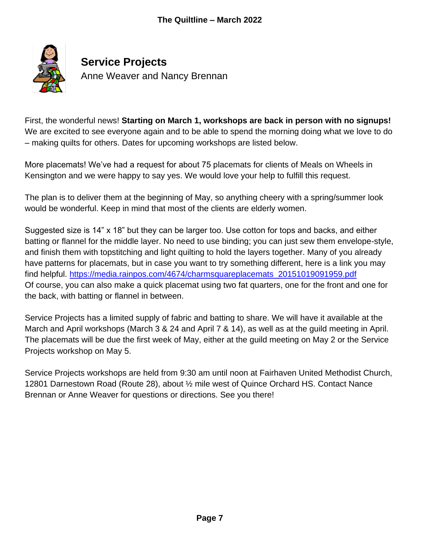

First, the wonderful news! **Starting on March 1, workshops are back in person with no signups!** We are excited to see everyone again and to be able to spend the morning doing what we love to do – making quilts for others. Dates for upcoming workshops are listed below.

More placemats! We've had a request for about 75 placemats for clients of Meals on Wheels in Kensington and we were happy to say yes. We would love your help to fulfill this request.

The plan is to deliver them at the beginning of May, so anything cheery with a spring/summer look would be wonderful. Keep in mind that most of the clients are elderly women.

Suggested size is 14" x 18" but they can be larger too. Use cotton for tops and backs, and either batting or flannel for the middle layer. No need to use binding; you can just sew them envelope-style, and finish them with topstitching and light quilting to hold the layers together. Many of you already have patterns for placemats, but in case you want to try something different, here is a link you may find helpful. [https://media.rainpos.com/4674/charmsquareplacemats\\_20151019091959.pdf](https://media.rainpos.com/4674/charmsquareplacemats_20151019091959.pdf) Of course, you can also make a quick placemat using two fat quarters, one for the front and one for the back, with batting or flannel in between.

Service Projects has a limited supply of fabric and batting to share. We will have it available at the March and April workshops (March 3 & 24 and April 7 & 14), as well as at the guild meeting in April. The placemats will be due the first week of May, either at the guild meeting on May 2 or the Service Projects workshop on May 5.

Service Projects workshops are held from 9:30 am until noon at Fairhaven United Methodist Church, 12801 Darnestown Road (Route 28), about ½ mile west of Quince Orchard HS. Contact Nance Brennan or Anne Weaver for questions or directions. See you there!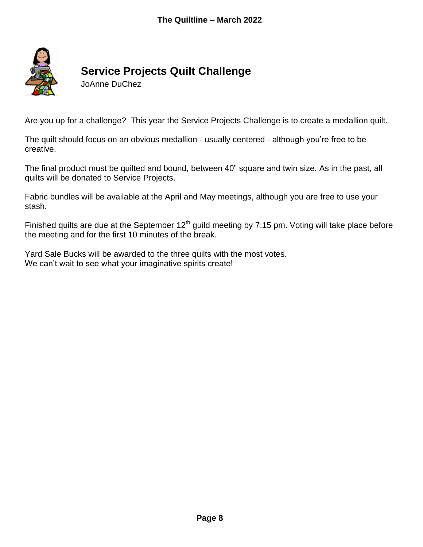

# **Service Projects Quilt Challenge**

JoAnne DuChez

Are you up for a challenge? This year the Service Projects Challenge is to create a medallion quilt.

The quilt should focus on an obvious medallion - usually centered - although you're free to be creative.

The final product must be quilted and bound, between 40" square and twin size. As in the past, all quilts will be donated to Service Projects.

Fabric bundles will be available at the April and May meetings, although you are free to use your stash.

Finished quilts are due at the September  $12<sup>th</sup>$  guild meeting by 7:15 pm. Voting will take place before the meeting and for the first 10 minutes of the break.

Yard Sale Bucks will be awarded to the three quilts with the most votes. We can't wait to see what your imaginative spirits create!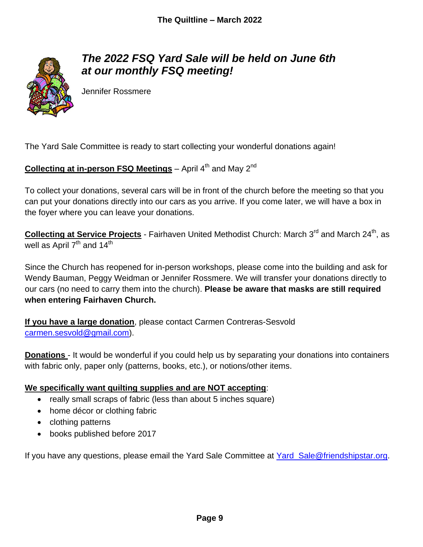

# *The 2022 FSQ Yard Sale will be held on June 6th at our monthly FSQ meeting!*

Jennifer Rossmere

The Yard Sale Committee is ready to start collecting your wonderful donations again!

## **Collecting at in-person FSQ Meetings** – April 4<sup>th</sup> and May 2<sup>nd</sup>

To collect your donations, several cars will be in front of the church before the meeting so that you can put your donations directly into our cars as you arrive. If you come later, we will have a box in the foyer where you can leave your donations.

**Collecting at Service Projects** - Fairhaven United Methodist Church: March 3<sup>rd</sup> and March 24<sup>th</sup>, as well as April  $7<sup>th</sup>$  and  $14<sup>th</sup>$ 

Since the Church has reopened for in-person workshops, please come into the building and ask for Wendy Bauman, Peggy Weidman or Jennifer Rossmere. We will transfer your donations directly to our cars (no need to carry them into the church). **Please be aware that masks are still required when entering Fairhaven Church.** 

**If you have a large donation**, please contact Carmen Contreras-Sesvold [carmen.sesvold@gmail.com\)](mailto:carmen.sesvold@gmail.com).

**Donations** - It would be wonderful if you could help us by separating your donations into containers with fabric only, paper only (patterns, books, etc.), or notions/other items.

## **We specifically want quilting supplies and are NOT accepting**:

- really small scraps of fabric (less than about 5 inches square)
- home décor or clothing fabric
- clothing patterns
- books published before 2017

If you have any questions, please email the Yard Sale Committee at [Yard\\_Sale@friendshipstar.org.](mailto:Yard_Sale@friendshipstar.org)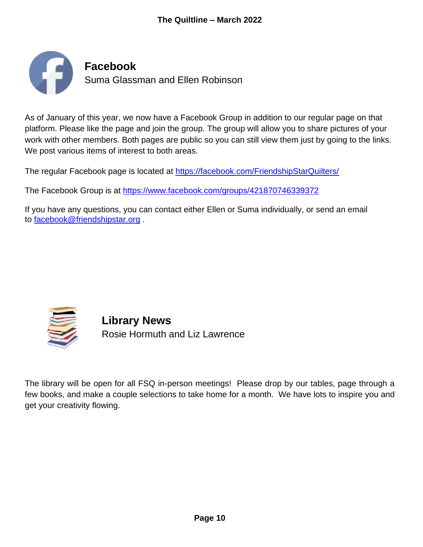

As of January of this year, we now have a Facebook Group in addition to our regular page on that platform. Please like the page and join the group. The group will allow you to share pictures of your work with other members. Both pages are public so you can still view them just by going to the links. We post various items of interest to both areas.

The regular Facebook page is located at <https://facebook.com/FriendshipStarQuilters/>

The Facebook Group is at <https://www.facebook.com/groups/421870746339372>

If you have any questions, you can contact either Ellen or Suma individually, or send an email to [facebook@friendshipstar.org](mailto:facebook@friendshipstar.org) .



**Library News** Rosie Hormuth and Liz Lawrence

The library will be open for all FSQ in-person meetings! Please drop by our tables, page through a few books, and make a couple selections to take home for a month. We have lots to inspire you and get your creativity flowing.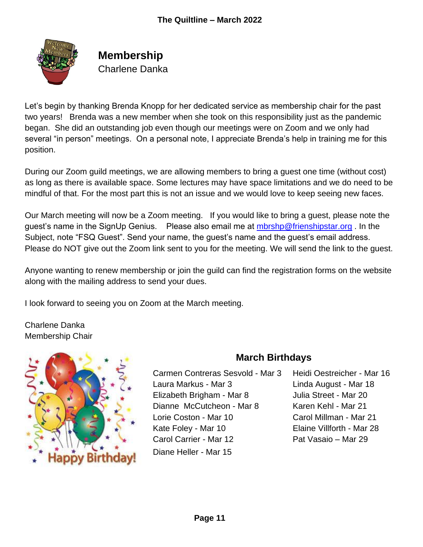

# **Membership**

Charlene Danka

Let's begin by thanking Brenda Knopp for her dedicated service as membership chair for the past two years! Brenda was a new member when she took on this responsibility just as the pandemic began. She did an outstanding job even though our meetings were on Zoom and we only had several "in person" meetings. On a personal note, I appreciate Brenda's help in training me for this position.

During our Zoom guild meetings, we are allowing members to bring a guest one time (without cost) as long as there is available space. Some lectures may have space limitations and we do need to be mindful of that. For the most part this is not an issue and we would love to keep seeing new faces.

Our March meeting will now be a Zoom meeting. If you would like to bring a guest, please note the guest's name in the SignUp Genius. Please also email me at *mbrshp@frienshipstar.org*. In the Subject, note "FSQ Guest". Send your name, the guest's name and the guest's email address. Please do NOT give out the Zoom link sent to you for the meeting. We will send the link to the guest.

Anyone wanting to renew membership or join the guild can find the registration forms on the website along with the mailing address to send your dues.

I look forward to seeing you on Zoom at the March meeting.

Charlene Danka Membership Chair



## **March Birthdays**

- Carmen Contreras Sesvold Mar 3 Heidi Oestreicher Mar 16 Laura Markus - Mar 3 Linda August - Mar 18 Elizabeth Brigham - Mar 8 Julia Street - Mar 20 Dianne McCutcheon - Mar 8 Karen Kehl - Mar 21 Lorie Coston - Mar 10 Carol Millman - Mar 21 Kate Foley - Mar 10 Elaine Villforth - Mar 28 Carol Carrier - Mar 12 Pat Vasaio – Mar 29 Diane Heller - Mar 15
-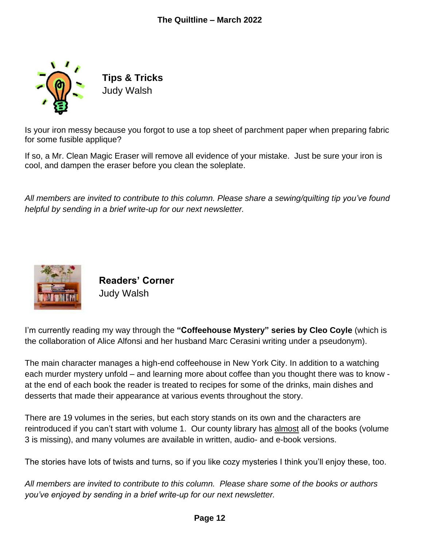

**Tips & Tricks** Judy Walsh

Is your iron messy because you forgot to use a top sheet of parchment paper when preparing fabric for some fusible applique?

If so, a Mr. Clean Magic Eraser will remove all evidence of your mistake. Just be sure your iron is cool, and dampen the eraser before you clean the soleplate.

*All members are invited to contribute to this column. Please share a sewing/quilting tip you've found helpful by sending in a brief write-up for our next newsletter.*



**Readers' Corner** Judy Walsh

I'm currently reading my way through the **"Coffeehouse Mystery" series by Cleo Coyle** (which is the collaboration of Alice Alfonsi and her husband Marc Cerasini writing under a pseudonym).

The main character manages a high-end coffeehouse in New York City. In addition to a watching each murder mystery unfold – and learning more about coffee than you thought there was to know at the end of each book the reader is treated to recipes for some of the drinks, main dishes and desserts that made their appearance at various events throughout the story.

There are 19 volumes in the series, but each story stands on its own and the characters are reintroduced if you can't start with volume 1. Our county library has almost all of the books (volume 3 is missing), and many volumes are available in written, audio- and e-book versions.

The stories have lots of twists and turns, so if you like cozy mysteries I think you'll enjoy these, too.

*All members are invited to contribute to this column. Please share some of the books or authors you've enjoyed by sending in a brief write-up for our next newsletter.*